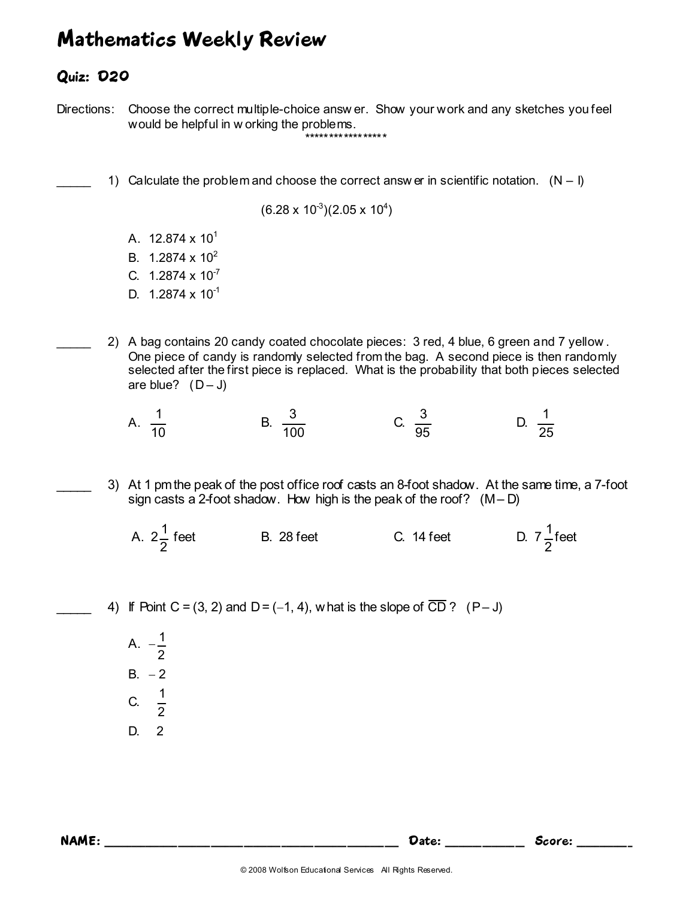## Mathematics Weekly Review

## Quiz: D20

Directions: Choose the correct multiple-choice answ er. Show your work and any sketches you feel would be helpful in w orking the problems. \*\*\*\*\*\*\*\*\*\*\*\*\*\*\*\*\*

1) Calculate the problem and choose the correct answ er in scientific notation.  $(N - I)$ 

 $(6.28 \times 10^3)(2.05 \times 10^4)$ 

- A.  $12.874 \times 10^{1}$
- B.  $1.2874 \times 10^{2}$
- C.  $1.2874 \times 10^{-7}$
- D.  $1.2874 \times 10^{-1}$
- \_\_\_\_\_ 2) A bag contains 20 candy coated chocolate pieces: 3 red, 4 blue, 6 green and 7 yellow . One piece of candy is randomly selected from the bag. A second piece is then randomly selected after the first piece is replaced. What is the probability that both pieces selected are blue?  $(D - J)$
- A. 10  $\frac{1}{2}$  B.



- 25  $\frac{1}{1}$
- 3) At 1 pm the peak of the post office roof casts an 8-foot shadow. At the same time, a 7-foot sign casts a 2-foot shadow. How high is the peak of the roof?  $(M - D)$
- A. 2 2 1 B. 28 feet C. 14 feet 2  $\frac{1}{5}$ feet

4) If Point C = (3, 2) and D = (−1, 4), w hat is the slope of  $\overline{CD}$  ? (P – J)

100

 $A. -$ 2  $\frac{1}{2}$ B.  $-2$  C. 2  $\frac{1}{2}$ D. 2

NAME: Score: